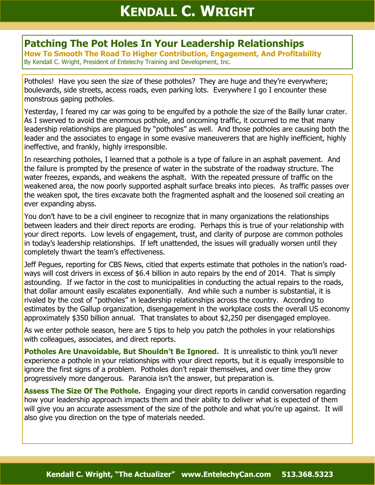## **Patching The Pot Holes In Your Leadership Relationships**

**How To Smooth The Road To Higher Contribution, Engagement, And Profitability**  By Kendall C. Wright, President of Entelechy Training and Development, Inc.

Potholes! Have you seen the size of these potholes? They are huge and they're everywhere; boulevards, side streets, access roads, even parking lots. Everywhere I go I encounter these monstrous gaping potholes.

Yesterday, I feared my car was going to be engulfed by a pothole the size of the Bailly lunar crater. As I swerved to avoid the enormous pothole, and oncoming traffic, it occurred to me that many leadership relationships are plagued by "potholes" as well. And those potholes are causing both the leader and the associates to engage in some evasive maneuverers that are highly inefficient, highly ineffective, and frankly, highly irresponsible.

In researching potholes, I learned that a pothole is a type of failure in an asphalt pavement. And the failure is prompted by the presence of water in the substrate of the roadway structure. The water freezes, expands, and weakens the asphalt. With the repeated pressure of traffic on the weakened area, the now poorly supported asphalt surface breaks into pieces. As traffic passes over the weaken spot, the tires excavate both the fragmented asphalt and the loosened soil creating an ever expanding abyss.

You don't have to be a civil engineer to recognize that in many organizations the relationships between leaders and their direct reports are eroding. Perhaps this is true of your relationship with your direct reports. Low levels of engagement, trust, and clarity of purpose are common potholes in today's leadership relationships. If left unattended, the issues will gradually worsen until they completely thwart the team's effectiveness.

Jeff Pegues, reporting for CBS News, citied that experts estimate that potholes in the nation's roadways will cost drivers in excess of \$6.4 billion in auto repairs by the end of 2014. That is simply astounding. If we factor in the cost to municipalities in conducting the actual repairs to the roads, that dollar amount easily escalates exponentially. And while such a number is substantial, it is rivaled by the cost of "potholes" in leadership relationships across the country. According to estimates by the Gallup organization, disengagement in the workplace costs the overall US economy approximately \$350 billion annual. That translates to about \$2,250 per disengaged employee.

As we enter pothole season, here are 5 tips to help you patch the potholes in your relationships with colleagues, associates, and direct reports.

**Potholes Are Unavoidable, But Shouldn't Be Ignored.** It is unrealistic to think you'll never experience a pothole in your relationships with your direct reports, but it is equally irresponsible to ignore the first signs of a problem. Potholes don't repair themselves, and over time they grow progressively more dangerous. Paranoia isn't the answer, but preparation is.

**Assess The Size Of The Pothole.** Engaging your direct reports in candid conversation regarding how your leadership approach impacts them and their ability to deliver what is expected of them will give you an accurate assessment of the size of the pothole and what you're up against. It will also give you direction on the type of materials needed.